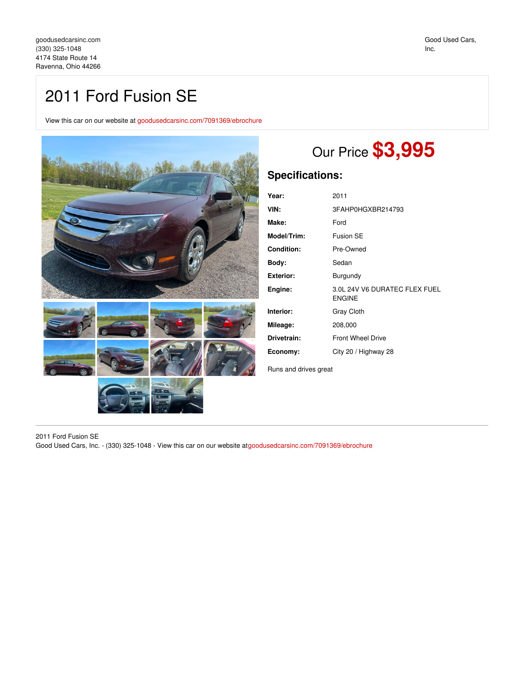## 2011 Ford Fusion SE

View this car on our website at [goodusedcarsinc.com/7091369/ebrochure](https://goodusedcarsinc.com/vehicle/7091369/2011-ford-fusion-se-ravenna-ohio-44266/7091369/ebrochure)



## Our Price **\$3,995**

## **Specifications:**

| Year:            | 2011                                           |
|------------------|------------------------------------------------|
| VIN:             | 3FAHP0HGXBR214793                              |
| Make:            | Ford                                           |
| Model/Trim:      | Fusion SF                                      |
| Condition:       | Pre-Owned                                      |
| Body:            | Sedan                                          |
| <b>Exterior:</b> | Burgundy                                       |
| Engine:          | 3.0L 24V V6 DURATEC FLEX FUEL<br><b>ENGINE</b> |
| Interior:        | <b>Gray Cloth</b>                              |
| Mileage:         | 208,000                                        |
| Drivetrain:      | <b>Front Wheel Drive</b>                       |
| Economy:         | City 20 / Highway 28                           |
|                  |                                                |

Runs and drives great

2011 Ford Fusion SE

Good Used Cars, Inc. - (330) 325-1048 - View this car on our website at[goodusedcarsinc.com/7091369/ebrochure](https://goodusedcarsinc.com/vehicle/7091369/2011-ford-fusion-se-ravenna-ohio-44266/7091369/ebrochure)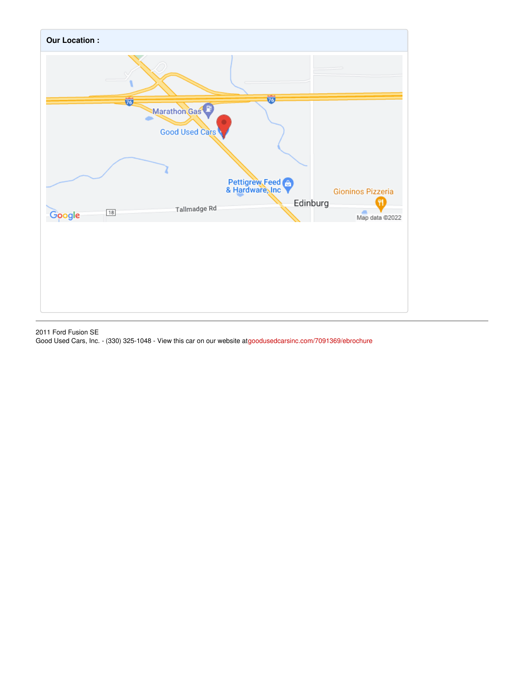

2011 Ford Fusion SE

Good Used Cars, Inc. - (330) 325-1048 - View this car on our website at[goodusedcarsinc.com/7091369/ebrochure](https://goodusedcarsinc.com/vehicle/7091369/2011-ford-fusion-se-ravenna-ohio-44266/7091369/ebrochure)